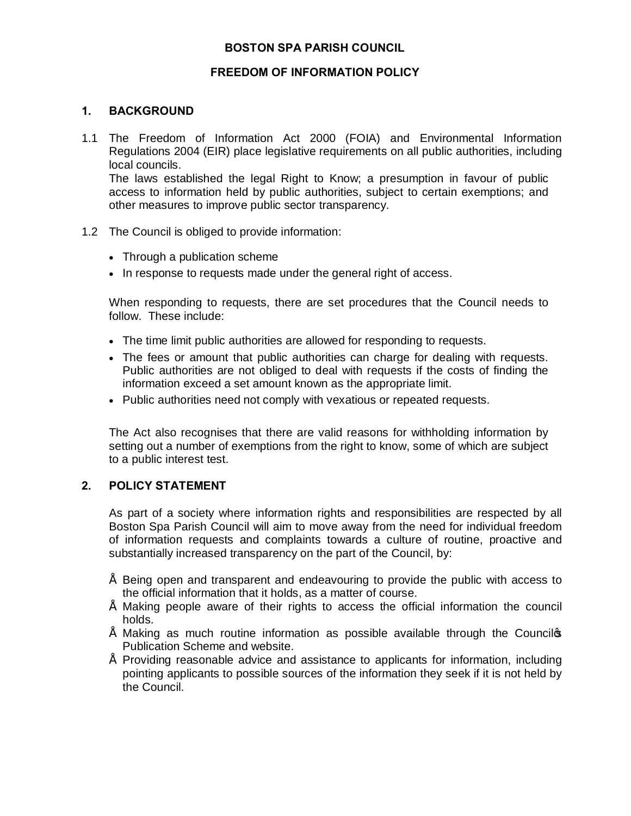# **BOSTON SPA PARISH COUNCIL**

### **FREEDOM OF INFORMATION POLICY**

#### **1. BACKGROUND**

- 1.1 The Freedom of Information Act 2000 (FOIA) and Environmental Information Regulations 2004 (EIR) place legislative requirements on all public authorities, including local councils. The laws established the legal Right to Know; a presumption in favour of public access to information held by public authorities, subject to certain exemptions; and other measures to improve public sector transparency.
- 1.2 The Council is obliged to provide information:
	- · Through a publication scheme
	- · In response to requests made under the general right of access.

When responding to requests, there are set procedures that the Council needs to follow. These include:

- · The time limit public authorities are allowed for responding to requests.
- · The fees or amount that public authorities can charge for dealing with requests. Public authorities are not obliged to deal with requests if the costs of finding the information exceed a set amount known as the appropriate limit.
- · Public authorities need not comply with vexatious or repeated requests.

The Act also recognises that there are valid reasons for withholding information by setting out a number of exemptions from the right to know, some of which are subject to a public interest test.

### **2. POLICY STATEMENT**

As part of a society where information rights and responsibilities are respected by all Boston Spa Parish Council will aim to move away from the need for individual freedom of information requests and complaints towards a culture of routine, proactive and substantially increased transparency on the part of the Council, by:

- Being open and transparent and endeavouring to provide the public with access to the official information that it holds, as a matter of course.
- Making people aware of their rights to access the official information the council holds.
- $\degree$  Making as much routine information as possible available through the Councilos Publication Scheme and website.
- Providing reasonable advice and assistance to applicants for information, including pointing applicants to possible sources of the information they seek if it is not held by the Council.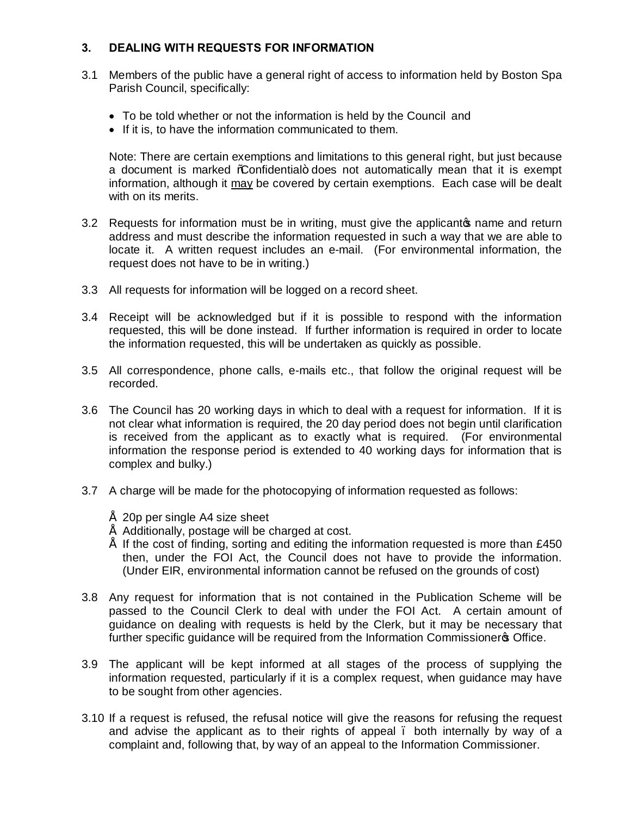# **3. DEALING WITH REQUESTS FOR INFORMATION**

- 3.1 Members of the public have a general right of access to information held by Boston Spa Parish Council, specifically:
	- · To be told whether or not the information is held by the Council and
	- · If it is, to have the information communicated to them.

Note: There are certain exemptions and limitations to this general right, but just because a document is marked %Confidential+ does not automatically mean that it is exempt information, although it may be covered by certain exemptions. Each case will be dealt with on its merits.

- 3.2 Requests for information must be in writing, must give the applicanto name and return address and must describe the information requested in such a way that we are able to locate it. A written request includes an e-mail. (For environmental information, the request does not have to be in writing.)
- 3.3 All requests for information will be logged on a record sheet.
- 3.4 Receipt will be acknowledged but if it is possible to respond with the information requested, this will be done instead. If further information is required in order to locate the information requested, this will be undertaken as quickly as possible.
- 3.5 All correspondence, phone calls, e-mails etc., that follow the original request will be recorded.
- 3.6 The Council has 20 working days in which to deal with a request for information. If it is not clear what information is required, the 20 day period does not begin until clarification is received from the applicant as to exactly what is required. (For environmental information the response period is extended to 40 working days for information that is complex and bulky.)
- 3.7 A charge will be made for the photocopying of information requested as follows:
	- $\degree$  20p per single A4 size sheet
	- $"$  Additionally, postage will be charged at cost.
	- If the cost of finding, sorting and editing the information requested is more than  $£450$ then, under the FOI Act, the Council does not have to provide the information. (Under EIR, environmental information cannot be refused on the grounds of cost)
- 3.8 Any request for information that is not contained in the Publication Scheme will be passed to the Council Clerk to deal with under the FOI Act. A certain amount of guidance on dealing with requests is held by the Clerk, but it may be necessary that further specific quidance will be required from the Information Commissioner<sup>®</sup> Office.
- 3.9 The applicant will be kept informed at all stages of the process of supplying the information requested, particularly if it is a complex request, when guidance may have to be sought from other agencies.
- 3.10 If a request is refused, the refusal notice will give the reasons for refusing the request and advise the applicant as to their rights of appeal. both internally by way of a complaint and, following that, by way of an appeal to the Information Commissioner.